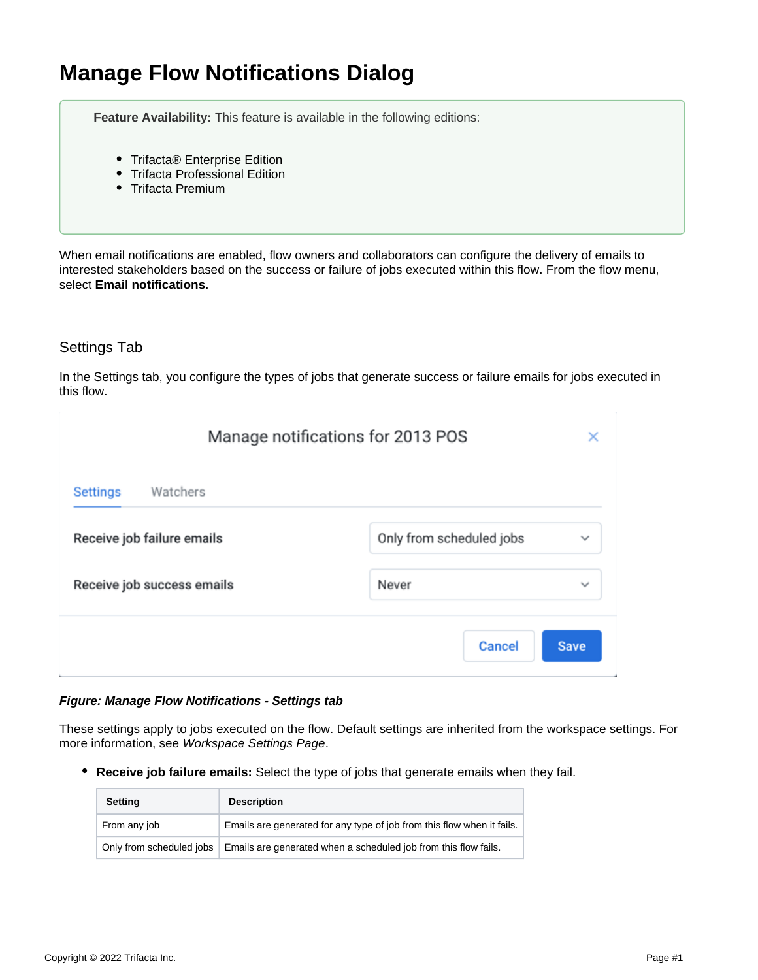# **Manage Flow Notifications Dialog**

**Feature Availability:** This feature is available in the following editions:

- Trifacta<sup>®</sup> Enterprise Edition
- Trifacta Professional Edition
- Trifacta Premium

When email notifications are enabled, flow owners and collaborators can configure the delivery of emails to interested stakeholders based on the success or failure of jobs executed within this flow. From the flow menu, select **Email notifications**.

# Settings Tab

In the Settings tab, you configure the types of jobs that generate success or failure emails for jobs executed in this flow.

| Manage notifications for 2013 POS |                                          |  |
|-----------------------------------|------------------------------------------|--|
| Watchers<br><b>Settings</b>       |                                          |  |
| Receive job failure emails        | Only from scheduled jobs<br>$\checkmark$ |  |
| Receive job success emails        | Never<br>$\checkmark$                    |  |
|                                   | <b>Cancel</b><br><b>Save</b>             |  |

## **Figure: Manage Flow Notifications - Settings tab**

These settings apply to jobs executed on the flow. Default settings are inherited from the workspace settings. For more information, see [Workspace Settings Page](https://docs.trifacta.com/display/AWS/Workspace+Settings+Page).

**Receive job failure emails:** Select the type of jobs that generate emails when they fail.

| <b>Setting</b>           | <b>Description</b>                                                     |
|--------------------------|------------------------------------------------------------------------|
| From any job             | Emails are generated for any type of job from this flow when it fails. |
| Only from scheduled jobs | Emails are generated when a scheduled job from this flow fails.        |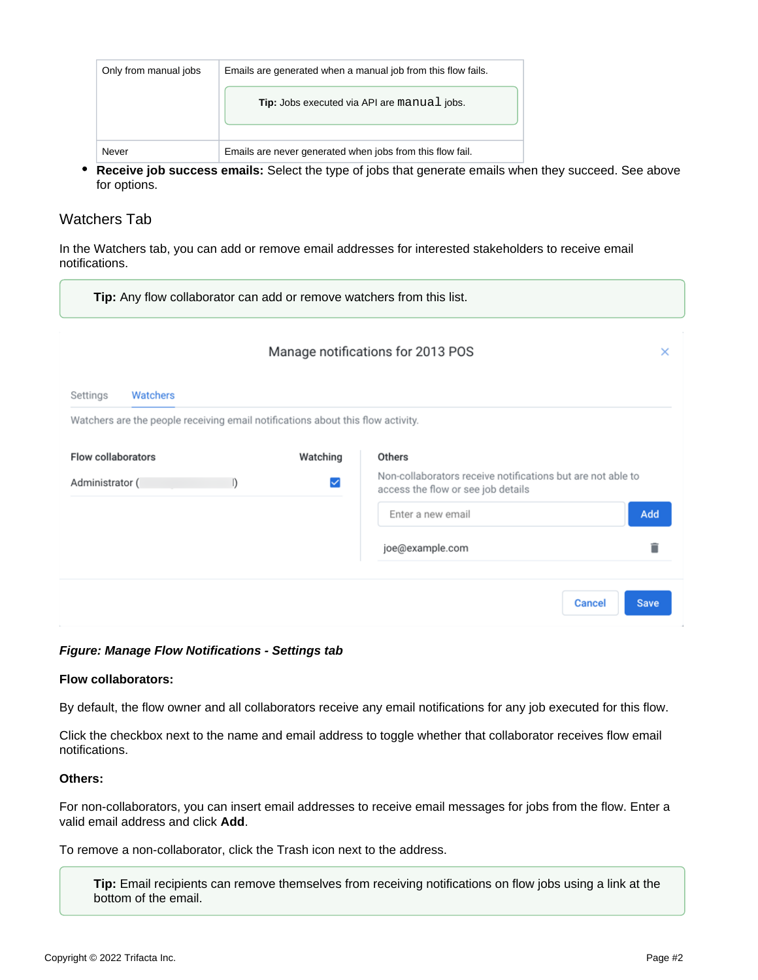| Tip: Jobs executed via API are manual jobs.<br>Emails are never generated when jobs from this flow fail.<br>Never | Only from manual jobs | Emails are generated when a manual job from this flow fails. |
|-------------------------------------------------------------------------------------------------------------------|-----------------------|--------------------------------------------------------------|
|                                                                                                                   |                       |                                                              |
|                                                                                                                   |                       |                                                              |

**Receive job success emails:** Select the type of jobs that generate emails when they succeed. See above for options.

# Watchers Tab

In the Watchers tab, you can add or remove email addresses for interested stakeholders to receive email notifications.

| Tip: Any flow collaborator can add or remove watchers from this list.           |          |                                                                                                   |          |  |  |
|---------------------------------------------------------------------------------|----------|---------------------------------------------------------------------------------------------------|----------|--|--|
|                                                                                 |          | Manage notifications for 2013 POS                                                                 | $\times$ |  |  |
| Watchers<br>Settings                                                            |          |                                                                                                   |          |  |  |
| Watchers are the people receiving email notifications about this flow activity. |          |                                                                                                   |          |  |  |
| Flow collaborators                                                              | Watching | <b>Others</b>                                                                                     |          |  |  |
| Administrator (<br>$\mathsf{I}$                                                 | ☑        | Non-collaborators receive notifications but are not able to<br>access the flow or see job details |          |  |  |
|                                                                                 |          | Add<br>Enter a new email                                                                          |          |  |  |
|                                                                                 |          | joe@example.com                                                                                   |          |  |  |
|                                                                                 |          |                                                                                                   |          |  |  |
|                                                                                 |          | <b>Cancel</b><br><b>Save</b>                                                                      |          |  |  |

#### **Figure: Manage Flow Notifications - Settings tab**

#### **Flow collaborators:**

By default, the flow owner and all collaborators receive any email notifications for any job executed for this flow.

Click the checkbox next to the name and email address to toggle whether that collaborator receives flow email notifications.

### **Others:**

For non-collaborators, you can insert email addresses to receive email messages for jobs from the flow. Enter a valid email address and click **Add**.

To remove a non-collaborator, click the Trash icon next to the address.

**Tip:** Email recipients can remove themselves from receiving notifications on flow jobs using a link at the bottom of the email.